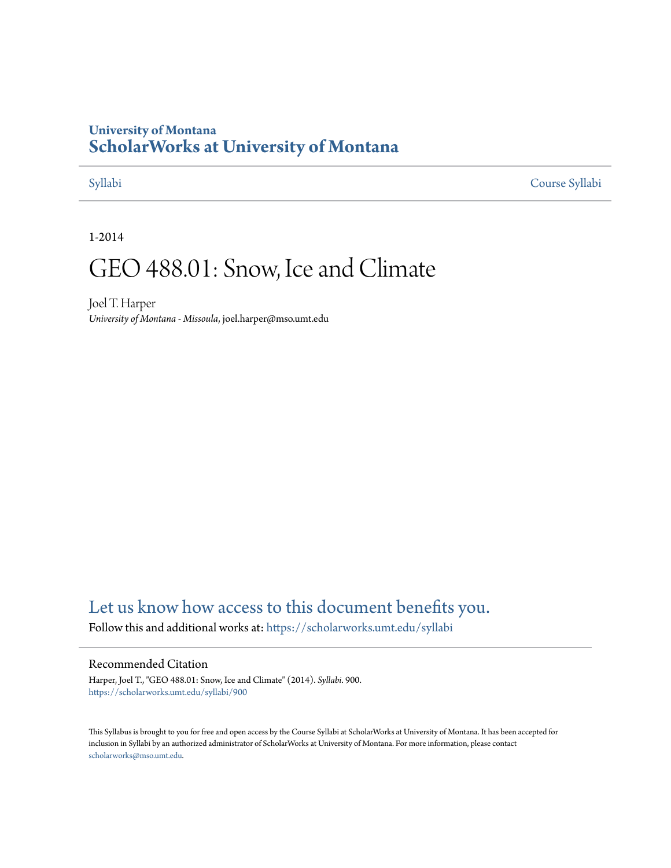## **University of Montana [ScholarWorks at University of Montana](https://scholarworks.umt.edu?utm_source=scholarworks.umt.edu%2Fsyllabi%2F900&utm_medium=PDF&utm_campaign=PDFCoverPages)**

[Syllabi](https://scholarworks.umt.edu/syllabi?utm_source=scholarworks.umt.edu%2Fsyllabi%2F900&utm_medium=PDF&utm_campaign=PDFCoverPages) [Course Syllabi](https://scholarworks.umt.edu/course_syllabi?utm_source=scholarworks.umt.edu%2Fsyllabi%2F900&utm_medium=PDF&utm_campaign=PDFCoverPages)

1-2014

# GEO 488.01: Snow, Ice and Climate

Joel T. Harper *University of Montana - Missoula*, joel.harper@mso.umt.edu

# [Let us know how access to this document benefits you.](https://goo.gl/forms/s2rGfXOLzz71qgsB2)

Follow this and additional works at: [https://scholarworks.umt.edu/syllabi](https://scholarworks.umt.edu/syllabi?utm_source=scholarworks.umt.edu%2Fsyllabi%2F900&utm_medium=PDF&utm_campaign=PDFCoverPages)

#### Recommended Citation

Harper, Joel T., "GEO 488.01: Snow, Ice and Climate" (2014). *Syllabi*. 900. [https://scholarworks.umt.edu/syllabi/900](https://scholarworks.umt.edu/syllabi/900?utm_source=scholarworks.umt.edu%2Fsyllabi%2F900&utm_medium=PDF&utm_campaign=PDFCoverPages)

This Syllabus is brought to you for free and open access by the Course Syllabi at ScholarWorks at University of Montana. It has been accepted for inclusion in Syllabi by an authorized administrator of ScholarWorks at University of Montana. For more information, please contact [scholarworks@mso.umt.edu](mailto:scholarworks@mso.umt.edu).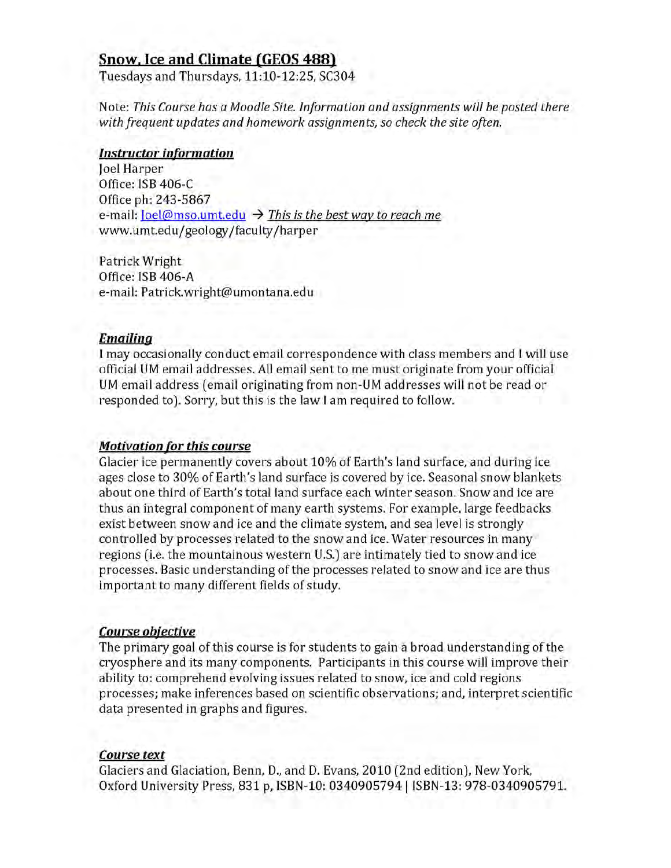### **Snow. Ice and Climate (GEOS 488)**

Tuesdays and Thursdays, 11:10-12:25, SC304

Note: *This Course has a Moodle Site. Information and assignments will be posted there with frequent updates and homework assignments*, *so check the site often.*

#### *Instructor information*

Joel Harper Office: ISB 406-C Office ph: 243-5867 e-mail:  $Ioel@mso.$ umt.edu  $\rightarrow$  *This is the best way to reach me* www.umt.edu/geology/faculty/harper

Patrick Wright Office: ISB 406-A e-mail: Patrick.wright@umontana.edu

#### *Emailina*

I may occasionally conduct email correspondence with class members and I will use official UM email addresses. All email sent to me must originate from your official UM email address (email originating from non-UM addresses will not be read or responded to). Sorry, but this is the law I am required to follow.

#### *Motivation for this course*

Glacier ice permanently covers about 10% of Earth's land surface, and during ice ages close to 30% of Earth's land surface is covered by ice. Seasonal snow blankets about one third of Earth's total land surface each winter season. Snow and ice are thus an integral component of many earth systems. For example, large feedbacks exist between snow and ice and the climate system, and sea level is strongly controlled by processes related to the snow and ice. Water resources in many regions (i.e. the mountainous western U.S.) are intimately tied to snow and ice processes. Basic understanding of the processes related to snow and ice are thus im portant to many different fields of study.

#### *Course objective*

The primary goal of this course is for students to gain a broad understanding of the cryosphere and its many components. Participants in this course will improve their ability to: comprehend evolving issues related to snow, ice and cold regions processes; make inferences based on scientific observations; and, interpret scientific data presented in graphs and figures.

#### *Course text*

Glaciers and Glaciation, Benn, D., and D. Evans, 2010 (2nd edition), New York, Oxford University Press, 831 p, ISBN-10: 0340905794 | ISBN-13: 978-0340905791.